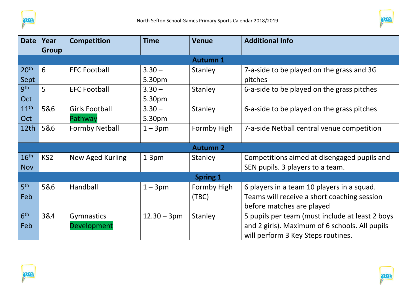



| <b>Date</b>      | Year            | <b>Competition</b>    | <b>Time</b>   | <b>Venue</b>    | <b>Additional Info</b>                          |  |
|------------------|-----------------|-----------------------|---------------|-----------------|-------------------------------------------------|--|
|                  | <b>Group</b>    |                       |               |                 |                                                 |  |
|                  | <b>Autumn 1</b> |                       |               |                 |                                                 |  |
| 20 <sup>th</sup> | 6               | <b>EFC Football</b>   | $3.30 -$      | Stanley         | 7-a-side to be played on the grass and 3G       |  |
| Sept             |                 |                       | 5.30pm        |                 | pitches                                         |  |
| gth              | 5               | <b>EFC Football</b>   | $3.30 -$      | Stanley         | 6-a-side to be played on the grass pitches      |  |
| Oct              |                 |                       | 5.30pm        |                 |                                                 |  |
| 11 <sup>th</sup> | 5&6             | <b>Girls Football</b> | $3.30 -$      | Stanley         | 6-a-side to be played on the grass pitches      |  |
| Oct              |                 | Pathway               | 5.30pm        |                 |                                                 |  |
| 12th             | 5&6             | <b>Formby Netball</b> | $1 - 3pm$     | Formby High     | 7-a-side Netball central venue competition      |  |
|                  |                 |                       |               |                 |                                                 |  |
|                  |                 |                       |               | <b>Autumn 2</b> |                                                 |  |
| 16 <sup>th</sup> | KS <sub>2</sub> | New Aged Kurling      | $1-3pm$       | Stanley         | Competitions aimed at disengaged pupils and     |  |
| <b>Nov</b>       |                 |                       |               |                 | SEN pupils. 3 players to a team.                |  |
| <b>Spring 1</b>  |                 |                       |               |                 |                                                 |  |
| 5 <sup>th</sup>  | 5&6             | Handball              | $1 - 3pm$     | Formby High     | 6 players in a team 10 players in a squad.      |  |
| Feb              |                 |                       |               | (TBC)           | Teams will receive a short coaching session     |  |
|                  |                 |                       |               |                 | before matches are played                       |  |
| 6 <sup>th</sup>  | 3&4             | Gymnastics            | $12.30 - 3pm$ | Stanley         | 5 pupils per team (must include at least 2 boys |  |
| Feb              |                 | Development           |               |                 | and 2 girls). Maximum of 6 schools. All pupils  |  |
|                  |                 |                       |               |                 | will perform 3 Key Steps routines.              |  |



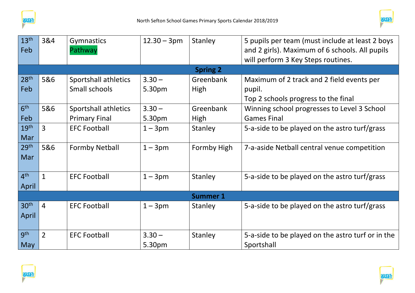



| 13 <sup>th</sup> | 3&4             | <b>Gymnastics</b>     | $12.30 - 3pm$ | Stanley         | 5 pupils per team (must include at least 2 boys   |  |  |
|------------------|-----------------|-----------------------|---------------|-----------------|---------------------------------------------------|--|--|
| Feb              |                 | Pathway               |               |                 | and 2 girls). Maximum of 6 schools. All pupils    |  |  |
|                  |                 |                       |               |                 | will perform 3 Key Steps routines.                |  |  |
|                  |                 |                       |               | <b>Spring 2</b> |                                                   |  |  |
| 28 <sup>th</sup> | 5&6             | Sportshall athletics  | $3.30 -$      | Greenbank       | Maximum of 2 track and 2 field events per         |  |  |
| Feb              |                 | Small schools         | 5.30pm        | <b>High</b>     | pupil.                                            |  |  |
|                  |                 |                       |               |                 | Top 2 schools progress to the final               |  |  |
| 6 <sup>th</sup>  | 5&6             | Sportshall athletics  | $3.30 -$      | Greenbank       | Winning school progresses to Level 3 School       |  |  |
| Feb              |                 | <b>Primary Final</b>  | 5.30pm        | <b>High</b>     | <b>Games Final</b>                                |  |  |
| 19 <sup>th</sup> | 3               | <b>EFC Football</b>   | $1 - 3pm$     | Stanley         | 5-a-side to be played on the astro turf/grass     |  |  |
| Mar              |                 |                       |               |                 |                                                   |  |  |
| 29 <sup>th</sup> | 5&6             | <b>Formby Netball</b> | $1 - 3pm$     | Formby High     | 7-a-aside Netball central venue competition       |  |  |
| Mar              |                 |                       |               |                 |                                                   |  |  |
|                  |                 |                       |               |                 |                                                   |  |  |
| 4 <sup>th</sup>  | $\mathbf{1}$    | <b>EFC Football</b>   | $1 - 3pm$     | Stanley         | 5-a-side to be played on the astro turf/grass     |  |  |
| April            |                 |                       |               |                 |                                                   |  |  |
|                  | <b>Summer 1</b> |                       |               |                 |                                                   |  |  |
| 30 <sup>th</sup> | $\overline{4}$  | <b>EFC Football</b>   | $1 - 3pm$     | Stanley         | 5-a-side to be played on the astro turf/grass     |  |  |
| April            |                 |                       |               |                 |                                                   |  |  |
|                  |                 |                       |               |                 |                                                   |  |  |
| gth              | $\overline{2}$  | <b>EFC Football</b>   | $3.30 -$      | Stanley         | 5-a-side to be played on the astro turf or in the |  |  |
| <b>May</b>       |                 |                       | 5.30pm        |                 | Sportshall                                        |  |  |



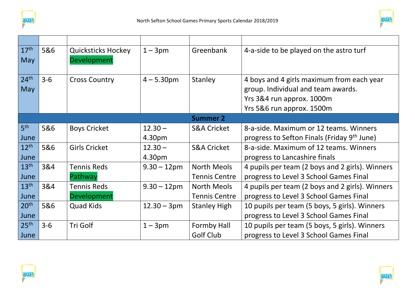



| 17 <sup>th</sup> | 5&6     | <b>Quicksticks Hockey</b> | $1 - 3pm$             | Greenbank              | 4-a-side to be played on the astro turf         |
|------------------|---------|---------------------------|-----------------------|------------------------|-------------------------------------------------|
| May              |         | Development               |                       |                        |                                                 |
|                  |         |                           |                       |                        |                                                 |
| 24 <sup>th</sup> | $3 - 6$ | <b>Cross Country</b>      | $4 - 5.30$ pm         | Stanley                | 4 boys and 4 girls maximum from each year       |
| May              |         |                           |                       |                        | group. Individual and team awards.              |
|                  |         |                           |                       |                        | Yrs 3&4 run approx. 1000m                       |
|                  |         |                           |                       |                        | Yrs 5&6 run approx. 1500m                       |
|                  |         |                           |                       | <b>Summer 2</b>        |                                                 |
| 5 <sup>th</sup>  | 5&6     | <b>Boys Cricket</b>       | $12.30 -$             | <b>S&amp;A Cricket</b> | 8-a-side. Maximum or 12 teams. Winners          |
| June             |         |                           | 4.30pm                |                        | progress to Sefton Finals (Friday 9th June)     |
| 12 <sup>th</sup> | 5&6     | <b>Girls Cricket</b>      | $12.30 -$             | <b>S&amp;A Cricket</b> | 8-a-side. Maximum of 12 teams. Winners          |
| June             |         |                           | 4.30pm                |                        | progress to Lancashire finals                   |
| 13 <sup>th</sup> | 3&4     | <b>Tennis Reds</b>        | $9.30 - 12 \text{pm}$ | <b>North Meols</b>     | 4 pupils per team (2 boys and 2 girls). Winners |
| June             |         | Pathway                   |                       | <b>Tennis Centre</b>   | progress to Level 3 School Games Final          |
| 13 <sup>th</sup> | 3&4     | <b>Tennis Reds</b>        | $9.30 - 12 \text{pm}$ | <b>North Meols</b>     | 4 pupils per team (2 boys and 2 girls). Winners |
| June             |         | Development               |                       | <b>Tennis Centre</b>   | progress to Level 3 School Games Final          |
| 20 <sup>th</sup> | 5&6     | <b>Quad Kids</b>          | $12.30 - 3pm$         | <b>Stanley High</b>    | 10 pupils per team (5 boys, 5 girls). Winners   |
| June             |         |                           |                       |                        | progress to Level 3 School Games Final          |
| 25 <sup>th</sup> | $3 - 6$ | Tri Golf                  | $1 - 3pm$             | Formby Hall            | 10 pupils per team (5 boys, 5 girls). Winners   |
| June             |         |                           |                       | <b>Golf Club</b>       | progress to Level 3 School Games Final          |